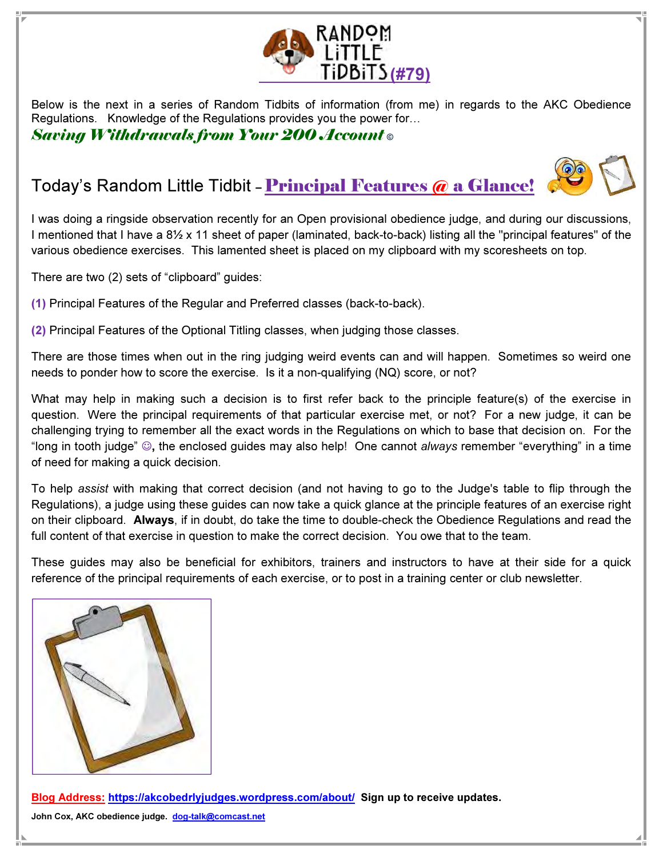

Below is the next in a series of Random Tidbits of information (from me) in regards to the AKC Obedience Regulations. Knowledge of the Regulations provides you the power for...

Saving Withdrawals from Your 200 Account ©

## Today's Random Little Tidbit - Principal Features @ a Glance!

I was doing a ringside observation recently for an Open provisional obedience judge, and during our discussions, I mentioned that I have a 8½ x 11 sheet of paper (laminated, back-to-back) listing all the "principal features" of the various obedience exercises. This lamented sheet is placed on my clipboard with my scoresheets on top.

There are two (2) sets of "clipboard" guides:

(1) Principal Features of the Regular and Preferred classes (back-to-back).

(2) Principal Features of the Optional Titling classes, when judging those classes.

There are those times when out in the ring judging weird events can and will happen. Sometimes so weird one needs to ponder how to score the exercise. Is it a non-qualifying (NQ) score, or not?

What may help in making such a decision is to first refer back to the principle feature(s) of the exercise in question. Were the principal requirements of that particular exercise met, or not? For a new judge, it can be challenging trying to remember all the exact words in the Regulations on which to base that decision on. For the "long in tooth judge" ☺, the enclosed guides may also help! One cannot always remember "everything" in a time of need for making a quick decision.

To help assist with making that correct decision (and not having to go to the Judge's table to flip through the Regulations), a judge using these guides can now take a quick glance at the principle features of an exercise right on their clipboard. Always, if in doubt, do take the time to double-check the Obedience Regulations and read the full content of that exercise in question to make the correct decision. You owe that to the team.

These guides may also be beneficial for exhibitors, trainers and instructors to have at their side for a quick reference of the principal requirements of each exercise, or to post in a training center or club newsletter.



Blog Address: https://akcobedrlyjudges.wordpress.com/about/ Sign up to receive updates.

John Cox, AKC obedience judge. dog-talk@comcast.net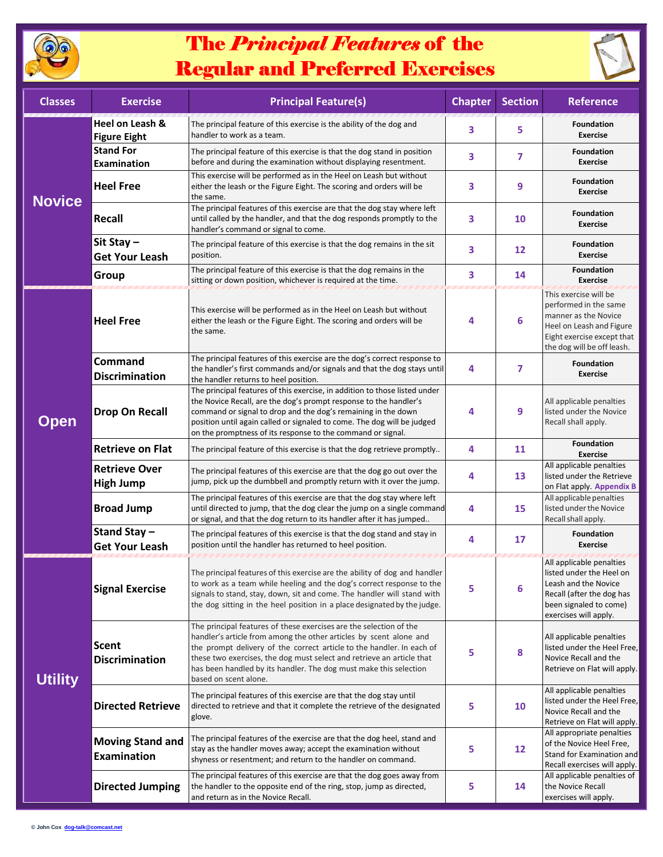

## The *Principal Features* of the Regular and Preferred Exercises



| <b>Classes</b> | <b>Exercise</b>                               | <b>Principal Feature(s)</b>                                                                                                                                                                                                                                                                                                                                                              | <b>Chapter</b> | <b>Section</b> | <b>Reference</b>                                                                                                                                               |
|----------------|-----------------------------------------------|------------------------------------------------------------------------------------------------------------------------------------------------------------------------------------------------------------------------------------------------------------------------------------------------------------------------------------------------------------------------------------------|----------------|----------------|----------------------------------------------------------------------------------------------------------------------------------------------------------------|
| <b>Novice</b>  | Heel on Leash &<br><b>Figure Eight</b>        | The principal feature of this exercise is the ability of the dog and<br>handler to work as a team.                                                                                                                                                                                                                                                                                       | 3              | 5              | <b>Foundation</b><br><b>Exercise</b>                                                                                                                           |
|                | <b>Stand For</b><br><b>Examination</b>        | The principal feature of this exercise is that the dog stand in position<br>before and during the examination without displaying resentment.                                                                                                                                                                                                                                             | 3              | 7              | <b>Foundation</b><br><b>Exercise</b>                                                                                                                           |
|                | <b>Heel Free</b>                              | This exercise will be performed as in the Heel on Leash but without<br>either the leash or the Figure Eight. The scoring and orders will be<br>the same.                                                                                                                                                                                                                                 | 3              | 9              | <b>Foundation</b><br><b>Exercise</b>                                                                                                                           |
|                | <b>Recall</b>                                 | The principal features of this exercise are that the dog stay where left<br>until called by the handler, and that the dog responds promptly to the<br>handler's command or signal to come.                                                                                                                                                                                               | 3              | 10             | <b>Foundation</b><br><b>Exercise</b>                                                                                                                           |
|                | Sit Stay-<br><b>Get Your Leash</b>            | The principal feature of this exercise is that the dog remains in the sit<br>position.                                                                                                                                                                                                                                                                                                   | 3              | 12             | <b>Foundation</b><br><b>Exercise</b>                                                                                                                           |
|                | Group                                         | The principal feature of this exercise is that the dog remains in the<br>sitting or down position, whichever is required at the time.                                                                                                                                                                                                                                                    | 3              | 14             | <b>Foundation</b><br><b>Exercise</b>                                                                                                                           |
| <b>Open</b>    | <b>Heel Free</b>                              | This exercise will be performed as in the Heel on Leash but without<br>either the leash or the Figure Eight. The scoring and orders will be<br>the same.                                                                                                                                                                                                                                 | 4              | 6              | This exercise will be<br>performed in the same<br>manner as the Novice<br>Heel on Leash and Figure<br>Eight exercise except that<br>the dog will be off leash. |
|                | <b>Command</b><br><b>Discrimination</b>       | The principal features of this exercise are the dog's correct response to<br>the handler's first commands and/or signals and that the dog stays until<br>the handler returns to heel position.                                                                                                                                                                                           | 4              | 7              | <b>Foundation</b><br><b>Exercise</b>                                                                                                                           |
|                | <b>Drop On Recall</b>                         | The principal features of this exercise, in addition to those listed under<br>the Novice Recall, are the dog's prompt response to the handler's<br>command or signal to drop and the dog's remaining in the down<br>position until again called or signaled to come. The dog will be judged<br>on the promptness of its response to the command or signal.                               | 4              | 9              | All applicable penalties<br>listed under the Novice<br>Recall shall apply.                                                                                     |
|                | <b>Retrieve on Flat</b>                       | The principal feature of this exercise is that the dog retrieve promptly                                                                                                                                                                                                                                                                                                                 | 4              | 11             | <b>Foundation</b><br><b>Exercise</b>                                                                                                                           |
|                | <b>Retrieve Over</b><br><b>High Jump</b>      | The principal features of this exercise are that the dog go out over the<br>jump, pick up the dumbbell and promptly return with it over the jump.                                                                                                                                                                                                                                        | 4              | 13             | All applicable penalties<br>listed under the Retrieve<br>on Flat apply. Appendix B                                                                             |
|                | <b>Broad Jump</b>                             | The principal features of this exercise are that the dog stay where left<br>until directed to jump, that the dog clear the jump on a single command<br>or signal, and that the dog return to its handler after it has jumped                                                                                                                                                             | 4              | 15             | All applicable penalties<br>listed under the Novice<br>Recall shall apply.                                                                                     |
|                | Stand Stay-<br><b>Get Your Leash</b>          | The principal features of this exercise is that the dog stand and stay in<br>position until the handler has returned to heel position.                                                                                                                                                                                                                                                   | 4              | 17             | <b>Foundation</b><br><b>Exercise</b>                                                                                                                           |
| <b>Utility</b> | <b>Signal Exercise</b>                        | The principal features of this exercise are the ability of dog and handler<br>to work as a team while heeling and the dog's correct response to the<br>signals to stand, stay, down, sit and come. The handler will stand with<br>the dog sitting in the heel position in a place designated by the judge.                                                                               | 5              | 6              | All applicable penalties<br>listed under the Heel on<br>Leash and the Novice<br>Recall (after the dog has<br>been signaled to come)<br>exercises will apply.   |
|                | <b>Scent</b><br><b>Discrimination</b>         | The principal features of these exercises are the selection of the<br>handler's article from among the other articles by scent alone and<br>the prompt delivery of the correct article to the handler. In each of<br>these two exercises, the dog must select and retrieve an article that<br>has been handled by its handler. The dog must make this selection<br>based on scent alone. | 5              | 8              | All applicable penalties<br>listed under the Heel Free,<br>Novice Recall and the<br>Retrieve on Flat will apply.                                               |
|                | <b>Directed Retrieve</b>                      | The principal features of this exercise are that the dog stay until<br>directed to retrieve and that it complete the retrieve of the designated<br>glove.                                                                                                                                                                                                                                | 5              | 10             | All applicable penalties<br>listed under the Heel Free,<br>Novice Recall and the<br>Retrieve on Flat will apply.                                               |
|                | <b>Moving Stand and</b><br><b>Examination</b> | The principal features of the exercise are that the dog heel, stand and<br>stay as the handler moves away; accept the examination without<br>shyness or resentment; and return to the handler on command.                                                                                                                                                                                | 5              | 12             | All appropriate penalties<br>of the Novice Heel Free,<br>Stand for Examination and<br>Recall exercises will apply.                                             |
|                | <b>Directed Jumping</b>                       | The principal features of this exercise are that the dog goes away from<br>the handler to the opposite end of the ring, stop, jump as directed,<br>and return as in the Novice Recall.                                                                                                                                                                                                   | 5              | 14             | All applicable penalties of<br>the Novice Recall<br>exercises will apply.                                                                                      |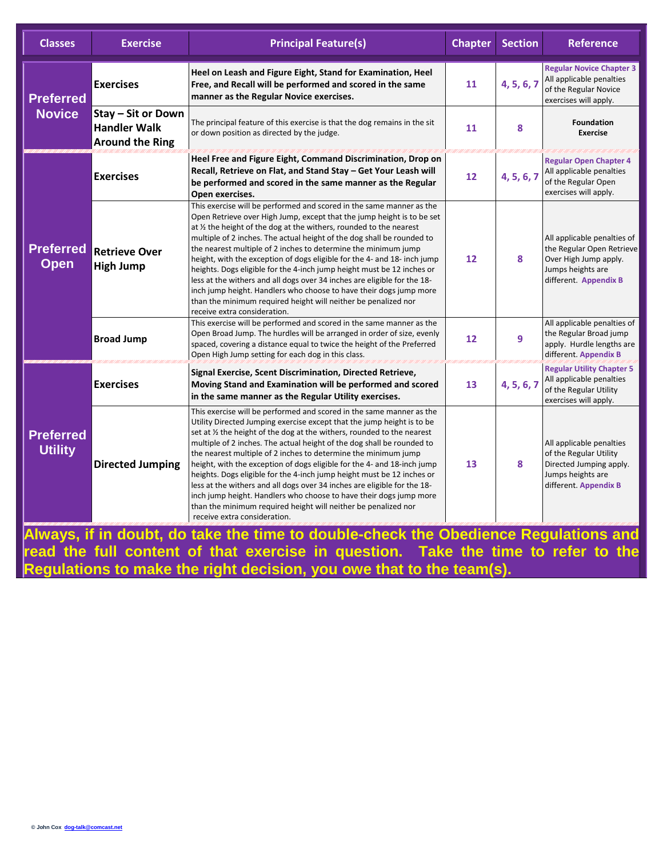| <b>Classes</b>                     | <b>Exercise</b>                                                     | <b>Principal Feature(s)</b>                                                                                                                                                                                                                                                                                                                                                                                                                                                                                                                                                                                                                                                                                                                                                              | <b>Chapter</b> | <b>Section</b> | <b>Reference</b>                                                                                                                |
|------------------------------------|---------------------------------------------------------------------|------------------------------------------------------------------------------------------------------------------------------------------------------------------------------------------------------------------------------------------------------------------------------------------------------------------------------------------------------------------------------------------------------------------------------------------------------------------------------------------------------------------------------------------------------------------------------------------------------------------------------------------------------------------------------------------------------------------------------------------------------------------------------------------|----------------|----------------|---------------------------------------------------------------------------------------------------------------------------------|
| <b>Preferred</b><br><b>Novice</b>  | <b>Exercises</b>                                                    | Heel on Leash and Figure Eight, Stand for Examination, Heel<br>Free, and Recall will be performed and scored in the same<br>manner as the Regular Novice exercises.                                                                                                                                                                                                                                                                                                                                                                                                                                                                                                                                                                                                                      | 11             | 4, 5, 6, 7     | <b>Regular Novice Chapter 3</b><br>All applicable penalties<br>of the Regular Novice<br>exercises will apply.                   |
|                                    | Stay - Sit or Down<br><b>Handler Walk</b><br><b>Around the Ring</b> | The principal feature of this exercise is that the dog remains in the sit<br>or down position as directed by the judge.                                                                                                                                                                                                                                                                                                                                                                                                                                                                                                                                                                                                                                                                  | 11             | 8              | <b>Foundation</b><br><b>Exercise</b>                                                                                            |
| <b>Preferred</b><br><b>Open</b>    | <b>Exercises</b>                                                    | Heel Free and Figure Eight, Command Discrimination, Drop on<br>Recall, Retrieve on Flat, and Stand Stay - Get Your Leash will<br>be performed and scored in the same manner as the Regular<br>Open exercises.                                                                                                                                                                                                                                                                                                                                                                                                                                                                                                                                                                            | 12             | 4, 5, 6, 7     | <b>Regular Open Chapter 4</b><br>All applicable penalties<br>of the Regular Open<br>exercises will apply.                       |
|                                    | <b>Retrieve Over</b><br><b>High Jump</b>                            | This exercise will be performed and scored in the same manner as the<br>Open Retrieve over High Jump, except that the jump height is to be set<br>at $\frac{1}{2}$ the height of the dog at the withers, rounded to the nearest<br>multiple of 2 inches. The actual height of the dog shall be rounded to<br>the nearest multiple of 2 inches to determine the minimum jump<br>height, with the exception of dogs eligible for the 4- and 18- inch jump<br>heights. Dogs eligible for the 4-inch jump height must be 12 inches or<br>less at the withers and all dogs over 34 inches are eligible for the 18-<br>inch jump height. Handlers who choose to have their dogs jump more<br>than the minimum required height will neither be penalized nor<br>receive extra consideration.    | 12             | 8              | All applicable penalties of<br>the Regular Open Retrieve<br>Over High Jump apply.<br>Jumps heights are<br>different. Appendix B |
|                                    | <b>Broad Jump</b>                                                   | This exercise will be performed and scored in the same manner as the<br>Open Broad Jump. The hurdles will be arranged in order of size, evenly<br>spaced, covering a distance equal to twice the height of the Preferred<br>Open High Jump setting for each dog in this class.                                                                                                                                                                                                                                                                                                                                                                                                                                                                                                           | 12             | 9              | All applicable penalties of<br>the Regular Broad jump<br>apply. Hurdle lengths are<br>different. Appendix B                     |
| <b>Preferred</b><br><b>Utility</b> | <b>Exercises</b>                                                    | Signal Exercise, Scent Discrimination, Directed Retrieve,<br>Moving Stand and Examination will be performed and scored<br>in the same manner as the Regular Utility exercises.                                                                                                                                                                                                                                                                                                                                                                                                                                                                                                                                                                                                           | 13             | 4, 5, 6, 7     | <b>Regular Utility Chapter 5</b><br>All applicable penalties<br>of the Regular Utility<br>exercises will apply.                 |
|                                    | <b>Directed Jumping</b>                                             | This exercise will be performed and scored in the same manner as the<br>Utility Directed Jumping exercise except that the jump height is to be<br>set at $\frac{1}{2}$ the height of the dog at the withers, rounded to the nearest<br>multiple of 2 inches. The actual height of the dog shall be rounded to<br>the nearest multiple of 2 inches to determine the minimum jump<br>height, with the exception of dogs eligible for the 4- and 18-inch jump<br>heights. Dogs eligible for the 4-inch jump height must be 12 inches or<br>less at the withers and all dogs over 34 inches are eligible for the 18-<br>inch jump height. Handlers who choose to have their dogs jump more<br>than the minimum required height will neither be penalized nor<br>receive extra consideration. | 13             | 8              | All applicable penalties<br>of the Regular Utility<br>Directed Jumping apply.<br>Jumps heights are<br>different. Appendix B     |

**Always, if in doubt, do take the time to double-check the Obedience Regulations and read the full content of that exercise in question. Take the time to refer to the Regulations to make the right decision, you owe that to the team(s).**